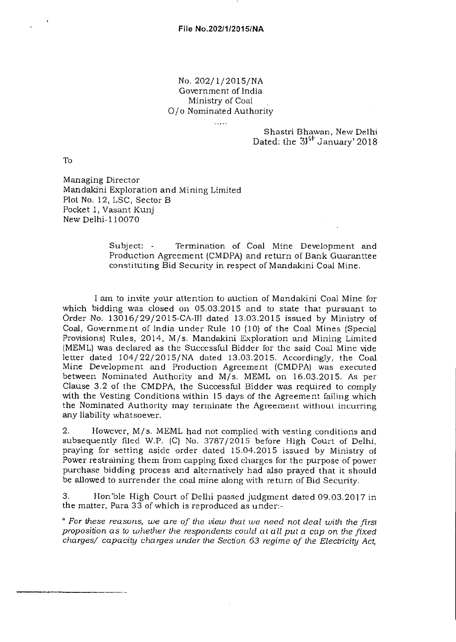## No. 202/1/2015/NA Government of India Ministry of Coal 0/o Nominated Authority

. . . . .

Shastri Bhawan, New Delhi Dated: the  $31<sup>51</sup>$  January' 2018

To

Managing Director Mandakini Exploration and Mining Limited Plot No. 12, LSC, Sector B Pocket 1, Vasant Kunj New Delhi-110070

> Subject: - Termination of Coal Mine Development and Production Agreement (CMDPA) and return of Bank Guarantee constituting Bid Security in respect of Mandakini Coal Mine.

I am to invite your attention to auction of Mandakini Coal Mine for which bidding was closed on 05.03.2015 and to state that pursuant to Order No. 13016/29/2015-CA-III dated 13.03.2015 issued by Ministry of Coal, Government of India under Rule 10 (10) of the Coal Mines (Special Provisions) Rules, 2014, M/s. Mandakini Exploration and Mining Limited (MEML) was declared as the Successful Bidder for the said Coal Mine vide letter dated 104/22/2015/NA dated 13.03.2015. Accordingly, the Coal Mine Development and Production Agreement (CMDPA) was executed between Nominated Authority and M/s. MEML on 16.03.2015. As per Clause 3.2 of the CMDPA, the Successful Bidder was required to comply with the Vesting Conditions within 15 days of the Agreement failing which the Nominated Authority may terminate the Agreement without incurring any liability whatsoever.

2. However, M/s. MEML had not complied with vesting conditions and subsequently filed W.P. (C) No. 3787/2015 before High Court of Delhi, praying for setting aside order dated 15.04.2015 issued by Ministry of Power restraining them from capping fixed charges for the purpose of power purchase bidding process and alternatively had also prayed that it should be allowed to surrender the coal mine along with return of Bid Security.

3. Hon'ble High Court of Delhi passed judgment dated 09.03.2017 in the matter, Para 33 of which is reproduced as under:-

" *For these reasons, we are of the view that we need not deal with the first proposition as to whether the respondents could at all put a cap on the fixed charges/ capacity charges under the Section 63 regime of the Electricity Act,*